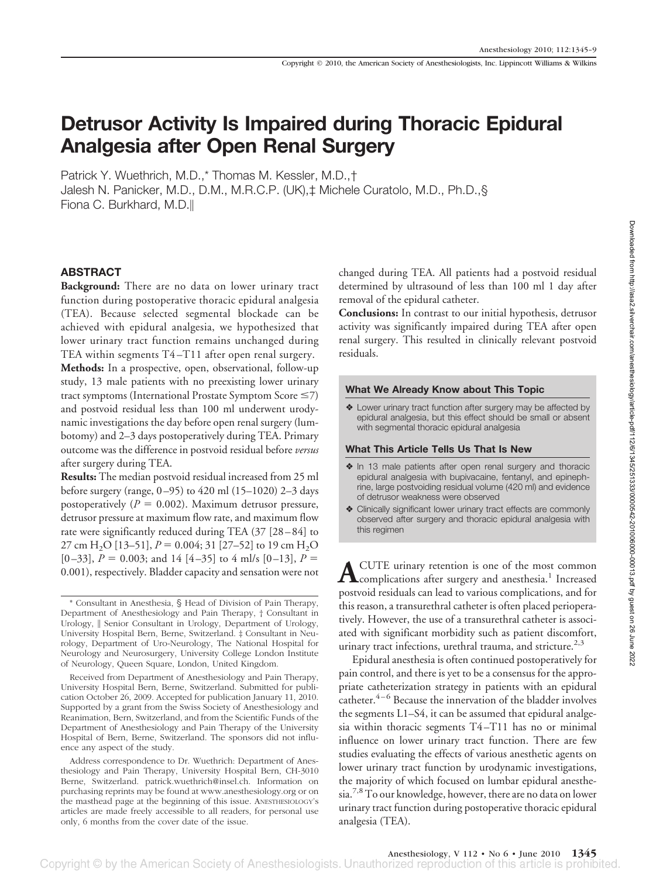# **Detrusor Activity Is Impaired during Thoracic Epidural Analgesia after Open Renal Surgery**

Patrick Y. Wuethrich, M.D.,\* Thomas M. Kessler, M.D.,† Jalesh N. Panicker, M.D., D.M., M.R.C.P. (UK),‡ Michele Curatolo, M.D., Ph.D.,§ Fiona C. Burkhard, M.D.

#### **ABSTRACT**

**Background:** There are no data on lower urinary tract function during postoperative thoracic epidural analgesia (TEA). Because selected segmental blockade can be achieved with epidural analgesia, we hypothesized that lower urinary tract function remains unchanged during TEA within segments T4 –T11 after open renal surgery. **Methods:** In a prospective, open, observational, follow-up study, 13 male patients with no preexisting lower urinary tract symptoms (International Prostate Symptom Score  $\leq$ 7) and postvoid residual less than 100 ml underwent urodynamic investigations the day before open renal surgery (lumbotomy) and 2–3 days postoperatively during TEA. Primary outcome was the difference in postvoid residual before *versus* after surgery during TEA.

**Results:** The median postvoid residual increased from 25 ml before surgery (range, 0 –95) to 420 ml (15–1020) 2–3 days postoperatively  $(P = 0.002)$ . Maximum detrusor pressure, detrusor pressure at maximum flow rate, and maximum flow rate were significantly reduced during TEA (37 [28 – 84] to 27 cm H<sub>2</sub>O [13–51],  $P = 0.004$ ; 31 [27–52] to 19 cm H<sub>2</sub>O  $[0-33]$ ,  $P = 0.003$ ; and 14  $[4-35]$  to 4 ml/s  $[0-13]$ ,  $P =$ 0.001), respectively. Bladder capacity and sensation were not

Received from Department of Anesthesiology and Pain Therapy, University Hospital Bern, Berne, Switzerland. Submitted for publication October 26, 2009. Accepted for publication January 11, 2010. Supported by a grant from the Swiss Society of Anesthesiology and Reanimation, Bern, Switzerland, and from the Scientific Funds of the Department of Anesthesiology and Pain Therapy of the University Hospital of Bern, Berne, Switzerland. The sponsors did not influence any aspect of the study.

Address correspondence to Dr. Wuethrich: Department of Anesthesiology and Pain Therapy, University Hospital Bern, CH-3010 Berne, Switzerland. patrick.wuethrich@insel.ch. Information on purchasing reprints may be found at www.anesthesiology.org or on the masthead page at the beginning of this issue. ANESTHESIOLOGY's articles are made freely accessible to all readers, for personal use only, 6 months from the cover date of the issue.

changed during TEA. All patients had a postvoid residual determined by ultrasound of less than 100 ml 1 day after removal of the epidural catheter.

**Conclusions:** In contrast to our initial hypothesis, detrusor activity was significantly impaired during TEA after open renal surgery. This resulted in clinically relevant postvoid residuals.

#### **What We Already Know about This Topic**

❖ Lower urinary tract function after surgery may be affected by epidural analgesia, but this effect should be small or absent with segmental thoracic epidural analgesia

#### **What This Article Tells Us That Is New**

- ❖ In 13 male patients after open renal surgery and thoracic epidural analgesia with bupivacaine, fentanyl, and epinephrine, large postvoiding residual volume (420 ml) and evidence of detrusor weakness were observed
- ❖ Clinically significant lower urinary tract effects are commonly observed after surgery and thoracic epidural analgesia with this regimen

**A**CUTE urinary retention is one of the most common<br>complications after surgery and anesthesia.<sup>1</sup> Increased postvoid residuals can lead to various complications, and for this reason, a transurethral catheter is often placed perioperatively. However, the use of a transurethral catheter is associated with significant morbidity such as patient discomfort, urinary tract infections, urethral trauma, and stricture. $2.3$ 

Epidural anesthesia is often continued postoperatively for pain control, and there is yet to be a consensus for the appropriate catheterization strategy in patients with an epidural catheter. $4-6$  Because the innervation of the bladder involves the segments L1–S4, it can be assumed that epidural analgesia within thoracic segments T4 –T11 has no or minimal influence on lower urinary tract function. There are few studies evaluating the effects of various anesthetic agents on lower urinary tract function by urodynamic investigations, the majority of which focused on lumbar epidural anesthe- $\sin^{7,8}$  To our knowledge, however, there are no data on lower urinary tract function during postoperative thoracic epidural analgesia (TEA).

Anesthesiology, V 112 • No 6 • June 2010 **1345**

<sup>\*</sup> Consultant in Anesthesia, § Head of Division of Pain Therapy, Department of Anesthesiology and Pain Therapy, † Consultant in Urology, || Senior Consultant in Urology, Department of Urology, University Hospital Bern, Berne, Switzerland. ‡ Consultant in Neurology, Department of Uro-Neurology, The National Hospital for Neurology and Neurosurgery, University College London Institute of Neurology, Queen Square, London, United Kingdom.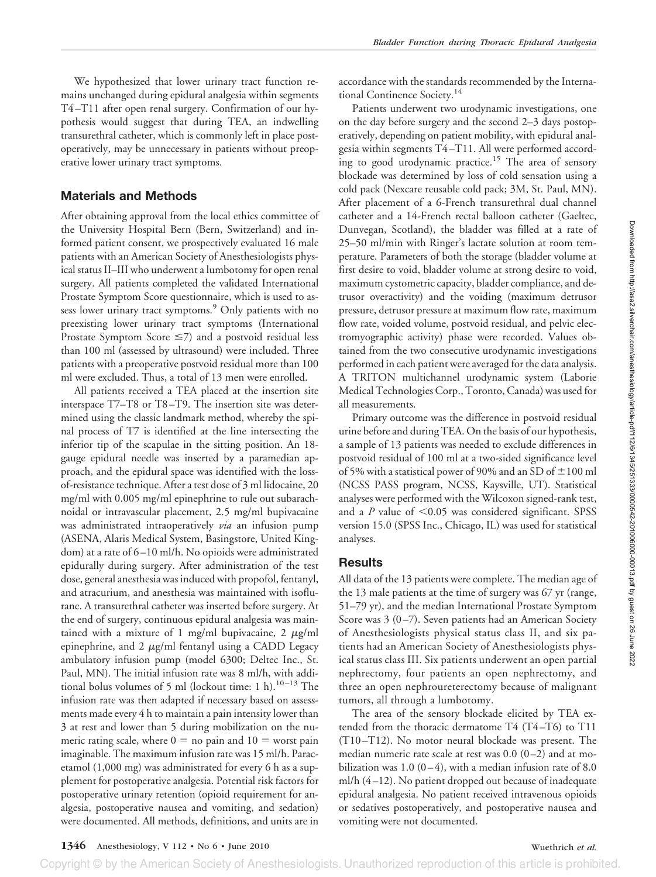We hypothesized that lower urinary tract function remains unchanged during epidural analgesia within segments T4 –T11 after open renal surgery. Confirmation of our hypothesis would suggest that during TEA, an indwelling transurethral catheter, which is commonly left in place postoperatively, may be unnecessary in patients without preoperative lower urinary tract symptoms.

### **Materials and Methods**

After obtaining approval from the local ethics committee of the University Hospital Bern (Bern, Switzerland) and informed patient consent, we prospectively evaluated 16 male patients with an American Society of Anesthesiologists physical status II–III who underwent a lumbotomy for open renal surgery. All patients completed the validated International Prostate Symptom Score questionnaire, which is used to assess lower urinary tract symptoms.<sup>9</sup> Only patients with no preexisting lower urinary tract symptoms (International Prostate Symptom Score  $\leq$ 7) and a postvoid residual less than 100 ml (assessed by ultrasound) were included. Three patients with a preoperative postvoid residual more than 100 ml were excluded. Thus, a total of 13 men were enrolled.

All patients received a TEA placed at the insertion site interspace T7–T8 or T8 –T9. The insertion site was determined using the classic landmark method, whereby the spinal process of T7 is identified at the line intersecting the inferior tip of the scapulae in the sitting position. An 18 gauge epidural needle was inserted by a paramedian approach, and the epidural space was identified with the lossof-resistance technique. After a test dose of 3 ml lidocaine, 20 mg/ml with 0.005 mg/ml epinephrine to rule out subarachnoidal or intravascular placement, 2.5 mg/ml bupivacaine was administrated intraoperatively *via* an infusion pump (ASENA, Alaris Medical System, Basingstore, United Kingdom) at a rate of 6 –10 ml/h. No opioids were administrated epidurally during surgery. After administration of the test dose, general anesthesia was induced with propofol, fentanyl, and atracurium, and anesthesia was maintained with isoflurane. A transurethral catheter was inserted before surgery. At the end of surgery, continuous epidural analgesia was maintained with a mixture of 1 mg/ml bupivacaine, 2  $\mu$ g/ml epinephrine, and 2  $\mu$ g/ml fentanyl using a CADD Legacy ambulatory infusion pump (model 6300; Deltec Inc., St. Paul, MN). The initial infusion rate was 8 ml/h, with additional bolus volumes of 5 ml (lockout time: 1 h).<sup>10-13</sup> The infusion rate was then adapted if necessary based on assessments made every 4 h to maintain a pain intensity lower than 3 at rest and lower than 5 during mobilization on the numeric rating scale, where  $0 =$  no pain and  $10 =$  worst pain imaginable. The maximum infusion rate was 15 ml/h. Paracetamol (1,000 mg) was administrated for every 6 h as a supplement for postoperative analgesia. Potential risk factors for postoperative urinary retention (opioid requirement for analgesia, postoperative nausea and vomiting, and sedation) were documented. All methods, definitions, and units are in accordance with the standards recommended by the International Continence Society.<sup>14</sup>

Patients underwent two urodynamic investigations, one on the day before surgery and the second 2–3 days postoperatively, depending on patient mobility, with epidural analgesia within segments T4 –T11. All were performed according to good urodynamic practice.<sup>15</sup> The area of sensory blockade was determined by loss of cold sensation using a cold pack (Nexcare reusable cold pack; 3M, St. Paul, MN). After placement of a 6-French transurethral dual channel catheter and a 14-French rectal balloon catheter (Gaeltec, Dunvegan, Scotland), the bladder was filled at a rate of 25–50 ml/min with Ringer's lactate solution at room temperature. Parameters of both the storage (bladder volume at first desire to void, bladder volume at strong desire to void, maximum cystometric capacity, bladder compliance, and detrusor overactivity) and the voiding (maximum detrusor pressure, detrusor pressure at maximum flow rate, maximum flow rate, voided volume, postvoid residual, and pelvic electromyographic activity) phase were recorded. Values obtained from the two consecutive urodynamic investigations performed in each patient were averaged for the data analysis. A TRITON multichannel urodynamic system (Laborie Medical Technologies Corp., Toronto, Canada) was used for all measurements.

Primary outcome was the difference in postvoid residual urine before and during TEA. On the basis of our hypothesis, a sample of 13 patients was needed to exclude differences in postvoid residual of 100 ml at a two-sided significance level of 5% with a statistical power of 90% and an SD of  $\pm$ 100 ml (NCSS PASS program, NCSS, Kaysville, UT). Statistical analyses were performed with the Wilcoxon signed-rank test, and a  $P$  value of  $\leq 0.05$  was considered significant. SPSS version 15.0 (SPSS Inc., Chicago, IL) was used for statistical analyses.

# **Results**

All data of the 13 patients were complete. The median age of the 13 male patients at the time of surgery was 67 yr (range, 51–79 yr), and the median International Prostate Symptom Score was 3 (0-7). Seven patients had an American Society of Anesthesiologists physical status class II, and six patients had an American Society of Anesthesiologists physical status class III. Six patients underwent an open partial nephrectomy, four patients an open nephrectomy, and three an open nephroureterectomy because of malignant tumors, all through a lumbotomy.

The area of the sensory blockade elicited by TEA extended from the thoracic dermatome T4 (T4-T6) to T11 (T10 –T12). No motor neural blockade was present. The median numeric rate scale at rest was  $0.0$   $(0-2)$  and at mobilization was 1.0 (0-4), with a median infusion rate of 8.0 ml/h (4 –12). No patient dropped out because of inadequate epidural analgesia. No patient received intravenous opioids or sedatives postoperatively, and postoperative nausea and vomiting were not documented.

Copyright © by the American Society of Anesthesiologists. Unauthorized reproduction of this article is prohibited.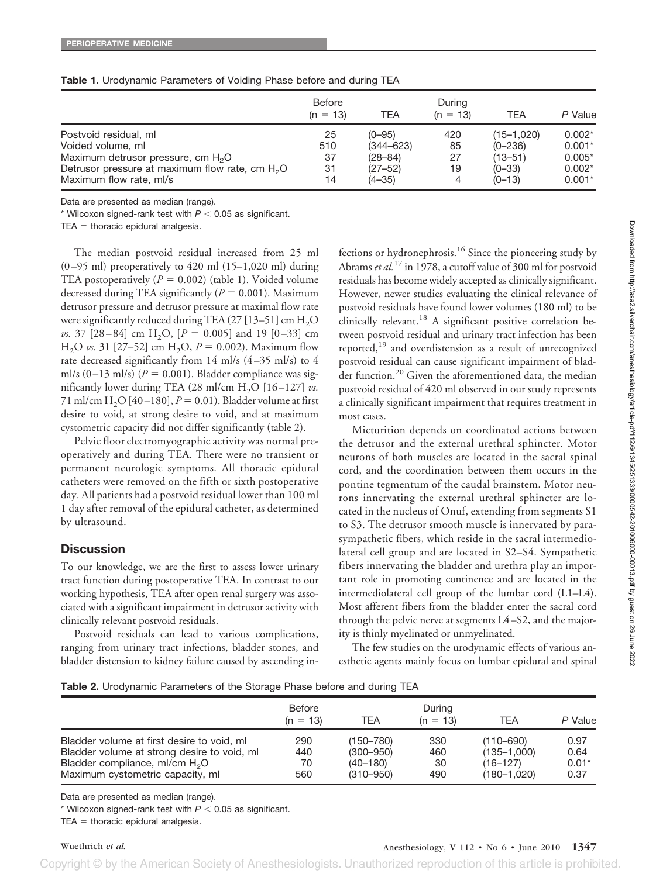|                                                             | Before<br>$(n = 13)$ | TEA           | During<br>$(n = 13)$ | TEA             | P Value  |
|-------------------------------------------------------------|----------------------|---------------|----------------------|-----------------|----------|
| Postvoid residual, ml                                       | 25                   | $(0 - 95)$    | 420                  | $(15 - 1, 020)$ | $0.002*$ |
| Voided volume, ml                                           | 510                  | $(344 - 623)$ | 85                   | $(0 - 236)$     | $0.001*$ |
| Maximum detrusor pressure, cm $H_2O$                        | 37                   | $(28 - 84)$   | 27                   | $(13 - 51)$     | $0.005*$ |
| Detrusor pressure at maximum flow rate, cm H <sub>2</sub> O | 31                   | $(27 - 52)$   | 19                   | $(0 - 33)$      | $0.002*$ |
| Maximum flow rate, ml/s                                     | 14                   | $(4 - 35)$    | 4                    | $(0 - 13)$      | $0.001*$ |

#### **Table 1.** Urodynamic Parameters of Voiding Phase before and during TEA

Data are presented as median (range).

 $*$  Wilcoxon signed-rank test with  $P < 0.05$  as significant.

 $TEA = thoracic$  epidural analgesia.

The median postvoid residual increased from 25 ml  $(0-95 \text{ ml})$  preoperatively to 420 ml  $(15-1,020 \text{ ml})$  during TEA postoperatively  $(P = 0.002)$  (table 1). Voided volume decreased during TEA significantly  $(P = 0.001)$ . Maximum detrusor pressure and detrusor pressure at maximal flow rate were significantly reduced during TEA (27 [13-51] cm  $H_2O$ *vs.* 37 [28-84] cm H<sub>2</sub>O,  $[P = 0.005]$  and 19 [0-33] cm H<sub>2</sub>O *vs.* 31 [27–52] cm H<sub>2</sub>O,  $P = 0.002$ ). Maximum flow rate decreased significantly from  $14$  ml/s  $(4-35$  ml/s) to  $4$ ml/s  $(0-13 \text{ ml/s})$   $(P = 0.001)$ . Bladder compliance was significantly lower during TEA  $(28 \text{ ml/cm H}_2\text{O} [16-127]$  *vs.* 71 ml/cm  $H_2O$  [40-180],  $P = 0.01$ ). Bladder volume at first desire to void, at strong desire to void, and at maximum cystometric capacity did not differ significantly (table 2).

Pelvic floor electromyographic activity was normal preoperatively and during TEA. There were no transient or permanent neurologic symptoms. All thoracic epidural catheters were removed on the fifth or sixth postoperative day. All patients had a postvoid residual lower than 100 ml 1 day after removal of the epidural catheter, as determined by ultrasound.

#### **Discussion**

To our knowledge, we are the first to assess lower urinary tract function during postoperative TEA. In contrast to our working hypothesis, TEA after open renal surgery was associated with a significant impairment in detrusor activity with clinically relevant postvoid residuals.

Postvoid residuals can lead to various complications, ranging from urinary tract infections, bladder stones, and bladder distension to kidney failure caused by ascending in-

fections or hydronephrosis.<sup>16</sup> Since the pioneering study by Abrams *et al.*<sup>17</sup> in 1978, a cutoff value of 300 ml for postvoid residuals has become widely accepted as clinically significant. However, newer studies evaluating the clinical relevance of postvoid residuals have found lower volumes (180 ml) to be clinically relevant.<sup>18</sup> A significant positive correlation between postvoid residual and urinary tract infection has been reported,<sup>19</sup> and overdistension as a result of unrecognized postvoid residual can cause significant impairment of bladder function.<sup>20</sup> Given the aforementioned data, the median postvoid residual of 420 ml observed in our study represents a clinically significant impairment that requires treatment in most cases.

Micturition depends on coordinated actions between the detrusor and the external urethral sphincter. Motor neurons of both muscles are located in the sacral spinal cord, and the coordination between them occurs in the pontine tegmentum of the caudal brainstem. Motor neurons innervating the external urethral sphincter are located in the nucleus of Onuf, extending from segments S1 to S3. The detrusor smooth muscle is innervated by parasympathetic fibers, which reside in the sacral intermediolateral cell group and are located in S2–S4. Sympathetic fibers innervating the bladder and urethra play an important role in promoting continence and are located in the intermediolateral cell group of the lumbar cord (L1–L4). Most afferent fibers from the bladder enter the sacral cord through the pelvic nerve at segments L4 –S2, and the majority is thinly myelinated or unmyelinated.

The few studies on the urodynamic effects of various anesthetic agents mainly focus on lumbar epidural and spinal

**Table 2.** Urodynamic Parameters of the Storage Phase before and during TEA

|                                                                                                                                                                   | <b>Before</b><br>$(n = 13)$ | TEA                                                         | During<br>$(n = 13)$    | <b>TEA</b>                                                           | P Value                         |
|-------------------------------------------------------------------------------------------------------------------------------------------------------------------|-----------------------------|-------------------------------------------------------------|-------------------------|----------------------------------------------------------------------|---------------------------------|
| Bladder volume at first desire to void, ml<br>Bladder volume at strong desire to void, ml<br>Bladder compliance, ml/cm $H_2O$<br>Maximum cystometric capacity, ml | 290<br>440<br>70<br>560     | (150–780)<br>$(300 - 950)$<br>$(40 - 180)$<br>$(310 - 950)$ | 330<br>460<br>30<br>490 | $(110 - 690)$<br>$(135 - 1,000)$<br>$(16 - 127)$<br>$(180 - 1, 020)$ | 0.97<br>0.64<br>$0.01*$<br>0.37 |

Copyright © by the American Society of Anesthesiologists. Unauthorized reproduction of this article is prohibited.

Data are presented as median (range).

 $*$  Wilcoxon signed-rank test with  $P < 0.05$  as significant.

 $TEA =$  thoracic epidural analgesia.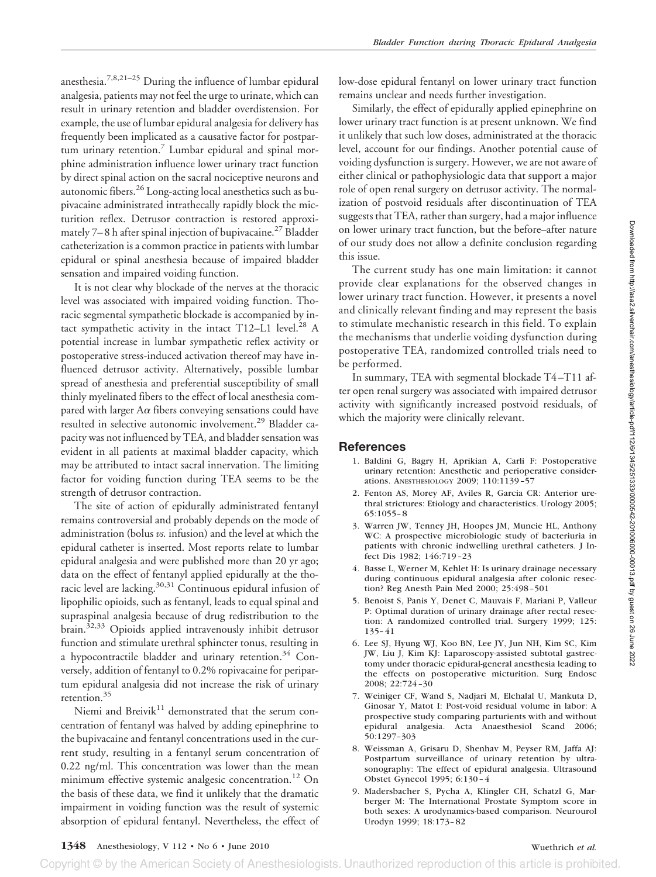anesthesia.7,8,21–25 During the influence of lumbar epidural analgesia, patients may not feel the urge to urinate, which can result in urinary retention and bladder overdistension. For example, the use of lumbar epidural analgesia for delivery has frequently been implicated as a causative factor for postpartum urinary retention.<sup>7</sup> Lumbar epidural and spinal morphine administration influence lower urinary tract function by direct spinal action on the sacral nociceptive neurons and autonomic fibers.<sup>26</sup> Long-acting local anesthetics such as bupivacaine administrated intrathecally rapidly block the micturition reflex. Detrusor contraction is restored approximately  $7-8$  h after spinal injection of bupivacaine.<sup>27</sup> Bladder catheterization is a common practice in patients with lumbar epidural or spinal anesthesia because of impaired bladder sensation and impaired voiding function.

It is not clear why blockade of the nerves at the thoracic level was associated with impaired voiding function. Thoracic segmental sympathetic blockade is accompanied by intact sympathetic activity in the intact T12-L1 level.<sup>28</sup> A potential increase in lumbar sympathetic reflex activity or postoperative stress-induced activation thereof may have influenced detrusor activity. Alternatively, possible lumbar spread of anesthesia and preferential susceptibility of small thinly myelinated fibers to the effect of local anesthesia compared with larger A $\alpha$  fibers conveying sensations could have resulted in selective autonomic involvement.<sup>29</sup> Bladder capacity was not influenced by TEA, and bladder sensation was evident in all patients at maximal bladder capacity, which may be attributed to intact sacral innervation. The limiting factor for voiding function during TEA seems to be the strength of detrusor contraction.

The site of action of epidurally administrated fentanyl remains controversial and probably depends on the mode of administration (bolus *vs.* infusion) and the level at which the epidural catheter is inserted. Most reports relate to lumbar epidural analgesia and were published more than 20 yr ago; data on the effect of fentanyl applied epidurally at the thoracic level are lacking.<sup>30,31</sup> Continuous epidural infusion of lipophilic opioids, such as fentanyl, leads to equal spinal and supraspinal analgesia because of drug redistribution to the brain.<sup>32,33</sup> Opioids applied intravenously inhibit detrusor function and stimulate urethral sphincter tonus, resulting in a hypocontractile bladder and urinary retention.<sup>34</sup> Conversely, addition of fentanyl to 0.2% ropivacaine for peripartum epidural analgesia did not increase the risk of urinary retention.<sup>35</sup>

Niemi and Breivik $11$  demonstrated that the serum concentration of fentanyl was halved by adding epinephrine to the bupivacaine and fentanyl concentrations used in the current study, resulting in a fentanyl serum concentration of 0.22 ng/ml. This concentration was lower than the mean minimum effective systemic analgesic concentration.<sup>12</sup> On the basis of these data, we find it unlikely that the dramatic impairment in voiding function was the result of systemic absorption of epidural fentanyl. Nevertheless, the effect of

low-dose epidural fentanyl on lower urinary tract function remains unclear and needs further investigation.

Similarly, the effect of epidurally applied epinephrine on lower urinary tract function is at present unknown. We find it unlikely that such low doses, administrated at the thoracic level, account for our findings. Another potential cause of voiding dysfunction is surgery. However, we are not aware of either clinical or pathophysiologic data that support a major role of open renal surgery on detrusor activity. The normalization of postvoid residuals after discontinuation of TEA suggests that TEA, rather than surgery, had a major influence on lower urinary tract function, but the before–after nature of our study does not allow a definite conclusion regarding this issue.

The current study has one main limitation: it cannot provide clear explanations for the observed changes in lower urinary tract function. However, it presents a novel and clinically relevant finding and may represent the basis to stimulate mechanistic research in this field. To explain the mechanisms that underlie voiding dysfunction during postoperative TEA, randomized controlled trials need to be performed.

In summary, TEA with segmental blockade T4 –T11 after open renal surgery was associated with impaired detrusor activity with significantly increased postvoid residuals, of which the majority were clinically relevant.

# **References**

- 1. Baldini G, Bagry H, Aprikian A, Carli F: Postoperative urinary retention: Anesthetic and perioperative considerations. ANESTHESIOLOGY 2009; 110:1139 –57
- 2. Fenton AS, Morey AF, Aviles R, Garcia CR: Anterior urethral strictures: Etiology and characteristics. Urology 2005; 65:1055– 8
- 3. Warren JW, Tenney JH, Hoopes JM, Muncie HL, Anthony WC: A prospective microbiologic study of bacteriuria in patients with chronic indwelling urethral catheters. J Infect Dis 1982; 146:719 –23
- 4. Basse L, Werner M, Kehlet H: Is urinary drainage necessary during continuous epidural analgesia after colonic resection? Reg Anesth Pain Med 2000; 25:498 –501
- 5. Benoist S, Panis Y, Denet C, Mauvais F, Mariani P, Valleur P: Optimal duration of urinary drainage after rectal resection: A randomized controlled trial. Surgery 1999; 125: 135– 41
- 6. Lee SJ, Hyung WJ, Koo BN, Lee JY, Jun NH, Kim SC, Kim JW, Liu J, Kim KJ: Laparoscopy-assisted subtotal gastrectomy under thoracic epidural-general anesthesia leading to the effects on postoperative micturition. Surg Endosc 2008; 22:724 –30
- 7. Weiniger CF, Wand S, Nadjari M, Elchalal U, Mankuta D, Ginosar Y, Matot I: Post-void residual volume in labor: A prospective study comparing parturients with and without epidural analgesia. Acta Anaesthesiol Scand 2006; 50:1297–303
- 8. Weissman A, Grisaru D, Shenhav M, Peyser RM, Jaffa AJ: Postpartum surveillance of urinary retention by ultrasonography: The effect of epidural analgesia. Ultrasound Obstet Gynecol 1995; 6:130 – 4
- 9. Madersbacher S, Pycha A, Klingler CH, Schatzl G, Marberger M: The International Prostate Symptom score in both sexes: A urodynamics-based comparison. Neurourol Urodyn 1999; 18:173– 82

# **1348** Anesthesiology, V 112 • No 6 • June 2010 Wuethrich *et al.*

Copyright © by the American Society of Anesthesiologists. Unauthorized reproduction of this article is prohibited.